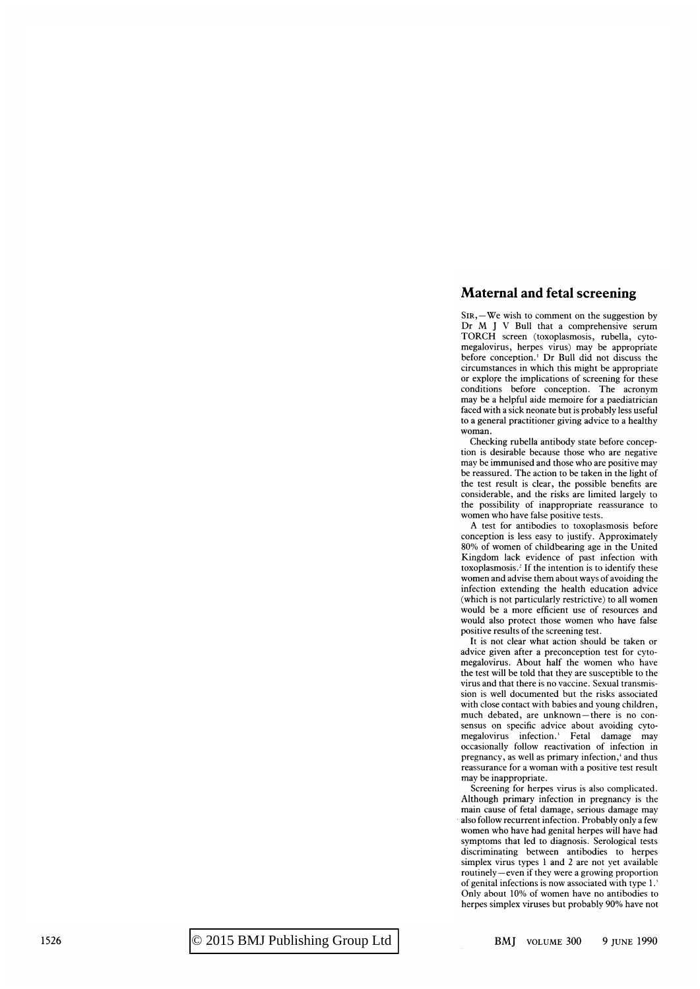## Maternal and fetal screening

SIR, - We wish to comment on the suggestion by Dr M J V Bull that a comprehensive serum TORCH screen (toxoplasmosis, rubella, cytomegalovirus, herpes virus) may be appropriate before conception.' Dr Bull did not discuss the circumstances in which this might be appropriate or explore the implications of screening for these conditions before conception. The acronym may be a helpful aide memoire for a paediatrician faced with a sick neonate but is probably less useful to a general practitioner giving advice to a healthy woman.

Checking rubella antibody state before conception is desirable because those who are negative may be immunised and those who are positive may be reassured. The action to be taken in the light of the test result is clear, the possible benefits are considerable, and the risks are limited largely to the possibility of inappropriate reassurance to women who have false positive tests.

A test for antibodies to toxoplasmosis before conception is less easy to justify. Approximately 80% of women of childbearing age in the United Kingdom lack evidence of past infection with toxoplasmosis.2 If the intention is to identify these women and advise them about ways of avoiding the infection extending the health education advice (which is not particularly restrictive) to all women would be a more efficient use of resources and would also protect those women who have false positive results of the screening test.

It is not clear what action should be taken or advice given after a preconception test for cytomegalovirus. About half the women who have the test will be told that they are susceptible to the virus and that there is no vaccine. Sexual transmission is well documented but the risks associated with close contact with babies and young children, much debated, are unknown-there is no consensus on specific advice about avoiding cytomegalovirus infection.' Fetal damage may occasionally follow reactivation of infection in pregnancy, as well as primary infection,<sup>4</sup> and thus reassurance for <sup>a</sup> woman with a positive test result may be inappropriate.

Screening for herpes virus is also complicated. Although primary infection in pregnancy is the main cause of fetal damage, serious damage may also follow recurrent infection. Probably only a few women who have had genital herpes will have had symptoms that led to diagnosis. Serological tests discriminating between antibodies to herpes simplex virus types <sup>1</sup> and 2 are not yet available routinely—even if they were a growing proportion of genital infections is now associated with type 1.' Only about 10% of women have no antibodies to herpes simplex viruses but probably 90% have not